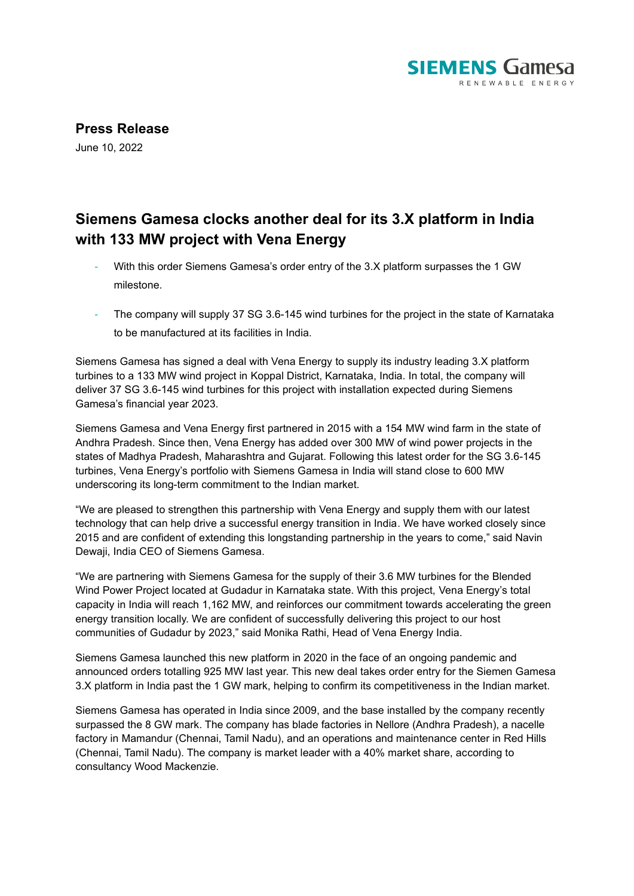

**Press Release**

June 10, 2022

## **Siemens Gamesa clocks another deal for its 3.X platform in India with 133 MW project with Vena Energy**

- With this order Siemens Gamesa's order entry of the 3.X platform surpasses the 1 GW milestone.
- The company will supply 37 SG 3.6-145 wind turbines for the project in the state of Karnataka to be manufactured at its facilities in India.

Siemens Gamesa has signed a deal with Vena Energy to supply its industry leading 3.X platform turbines to a 133 MW wind project in Koppal District, Karnataka, India. In total, the company will deliver 37 SG 3.6-145 wind turbines for this project with installation expected during Siemens Gamesa's financial year 2023.

Siemens Gamesa and Vena Energy first partnered in 2015 with a 154 MW wind farm in the state of Andhra Pradesh. Since then, Vena Energy has added over 300 MW of wind power projects in the states of Madhya Pradesh, Maharashtra and Gujarat. Following this latest order for the SG 3.6-145 turbines, Vena Energy's portfolio with Siemens Gamesa in India will stand close to 600 MW underscoring its long-term commitment to the Indian market.

"We are pleased to strengthen this partnership with Vena Energy and supply them with our latest technology that can help drive a successful energy transition in India. We have worked closely since 2015 and are confident of extending this longstanding partnership in the years to come," said Navin Dewaji, India CEO of Siemens Gamesa.

"We are partnering with Siemens Gamesa for the supply of their 3.6 MW turbines for the Blended Wind Power Project located at Gudadur in Karnataka state. With this project, Vena Energy's total capacity in India will reach 1,162 MW, and reinforces our commitment towards accelerating the green energy transition locally. We are confident of successfully delivering this project to our host communities of Gudadur by 2023," said Monika Rathi, Head of Vena Energy India.

Siemens Gamesa launched this new platform in 2020 in the face of an ongoing pandemic and announced orders totalling 925 MW last year. This new deal takes order entry for the Siemen Gamesa 3.X platform in India past the 1 GW mark, helping to confirm its competitiveness in the Indian market.

Siemens Gamesa has operated in India since 2009, and the base installed by the company recently surpassed the 8 GW mark. The company has blade factories in Nellore (Andhra Pradesh), a nacelle factory in Mamandur (Chennai, Tamil Nadu), and an operations and maintenance center in Red Hills (Chennai, Tamil Nadu). The company is market leader with a 40% market share, according to consultancy Wood Mackenzie.